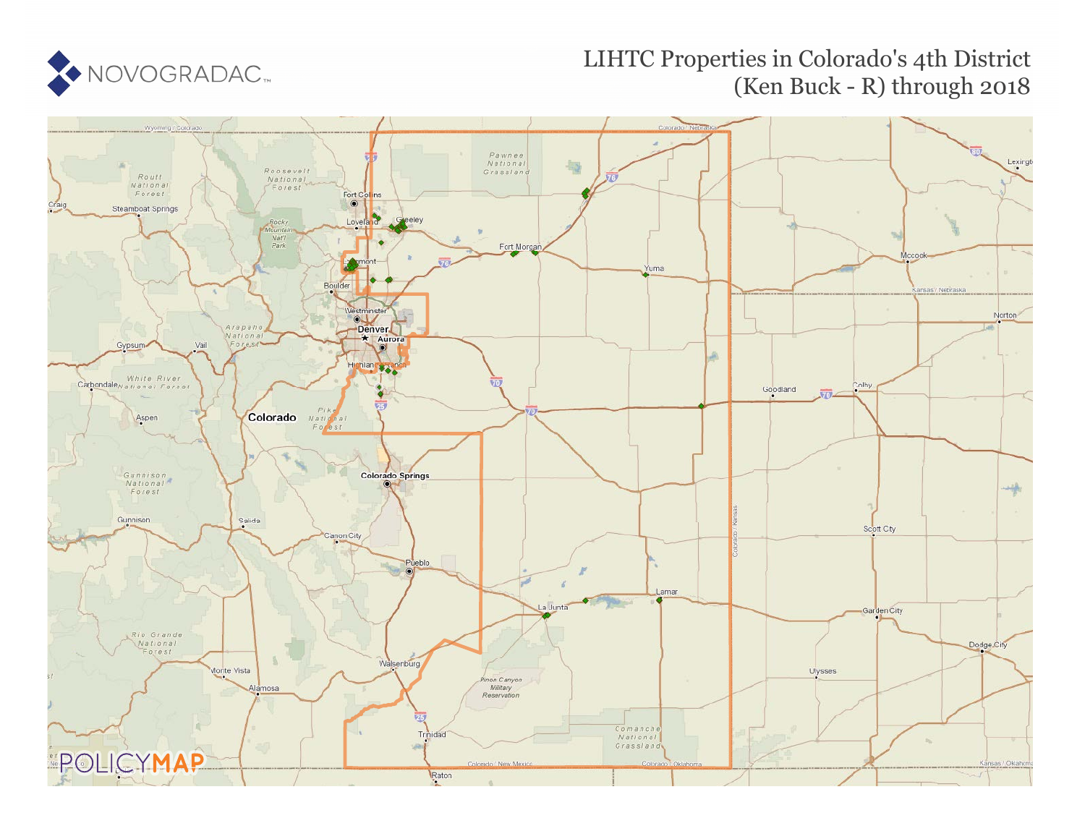

# LIHTC Properties in Colorado's 4th District (Ken Buck - R) through 2018

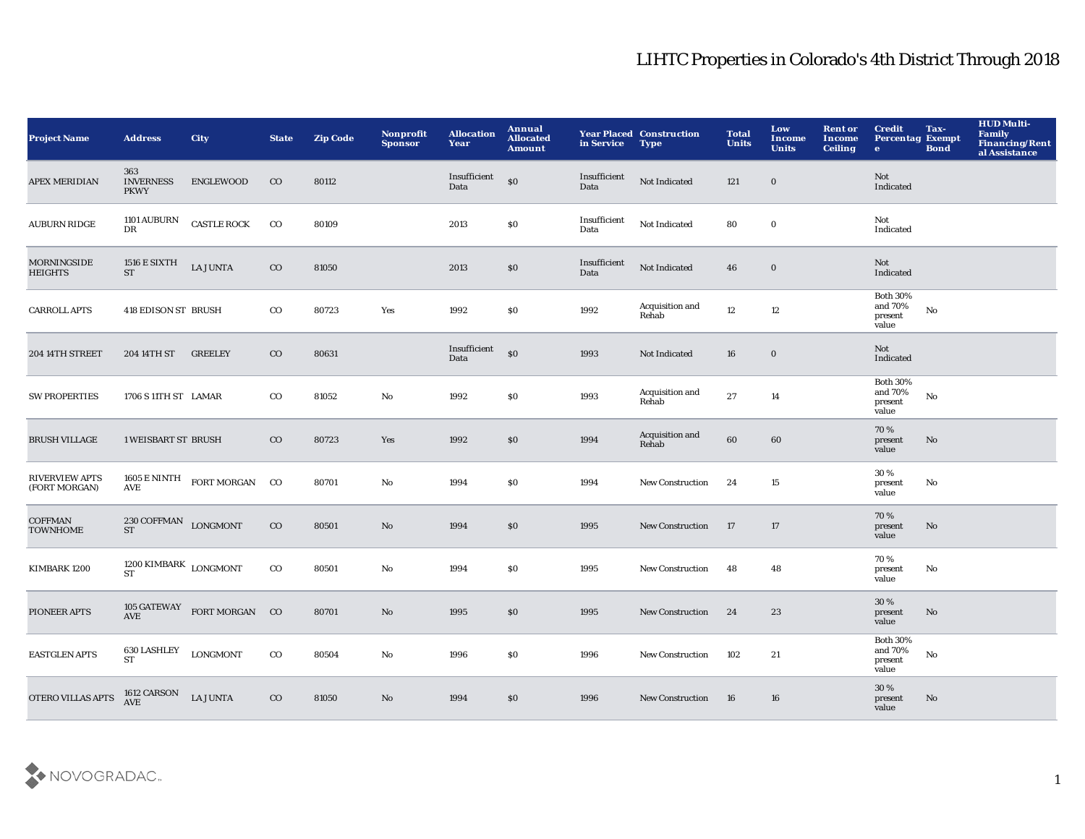| <b>Project Name</b>                    | <b>Address</b>                                   | <b>City</b>                                                                | <b>State</b> | <b>Zip Code</b> | Nonprofit<br><b>Sponsor</b> | <b>Allocation</b><br>Year | Annual<br><b>Allocated</b><br><b>Amount</b> | in Service           | <b>Year Placed Construction</b><br>Type | <b>Total</b><br><b>Units</b> | Low<br><b>Income</b><br><b>Units</b> | <b>Rent or</b><br><b>Income</b><br><b>Ceiling</b> | <b>Credit</b><br><b>Percentag Exempt</b><br>$\bullet$ | Tax-<br><b>Bond</b> | <b>HUD Multi-</b><br>Family<br><b>Financing/Rent</b><br>al Assistance |
|----------------------------------------|--------------------------------------------------|----------------------------------------------------------------------------|--------------|-----------------|-----------------------------|---------------------------|---------------------------------------------|----------------------|-----------------------------------------|------------------------------|--------------------------------------|---------------------------------------------------|-------------------------------------------------------|---------------------|-----------------------------------------------------------------------|
| <b>APEX MERIDIAN</b>                   | 363<br><b>INVERNESS</b><br><b>PKWY</b>           | ENGLEWOOD                                                                  | $_{\rm CO}$  | 80112           |                             | Insufficient<br>Data      | \$0                                         | Insufficient<br>Data | Not Indicated                           | 121                          | $\mathbf 0$                          |                                                   | Not<br>Indicated                                      |                     |                                                                       |
| <b>AUBURN RIDGE</b>                    | <b>1101 AUBURN</b><br>DR                         | <b>CASTLE ROCK</b>                                                         | $_{\rm CO}$  | 80109           |                             | 2013                      | \$0                                         | Insufficient<br>Data | Not Indicated                           | 80                           | $\mathbf 0$                          |                                                   | Not<br>Indicated                                      |                     |                                                                       |
| MORNINGSIDE<br><b>HEIGHTS</b>          | 1516 E SIXTH<br><b>ST</b>                        | <b>LA JUNTA</b>                                                            | $_{\rm CO}$  | 81050           |                             | 2013                      | $\$0$                                       | Insufficient<br>Data | Not Indicated                           | 46                           | $\mathbf 0$                          |                                                   | Not<br>Indicated                                      |                     |                                                                       |
| <b>CARROLL APTS</b>                    | 418 EDISON ST BRUSH                              |                                                                            | $_{\rm CO}$  | 80723           | Yes                         | 1992                      | \$0                                         | 1992                 | Acquisition and<br>Rehab                | 12                           | 12                                   |                                                   | <b>Both 30%</b><br>and 70%<br>present<br>value        | ${\bf No}$          |                                                                       |
| 204 14TH STREET                        | 204 14TH ST                                      | <b>GREELEY</b>                                                             | $_{\rm CO}$  | 80631           |                             | Insufficient<br>Data      | $\boldsymbol{\mathsf{S}}$                   | 1993                 | Not Indicated                           | 16                           | $\mathbf 0$                          |                                                   | Not<br>Indicated                                      |                     |                                                                       |
| <b>SW PROPERTIES</b>                   | 1706 S 11TH ST LAMAR                             |                                                                            | $_{\rm CO}$  | 81052           | $\mathbf{No}$               | 1992                      | \$0                                         | 1993                 | Acquisition and<br>Rehab                | $\bf 27$                     | 14                                   |                                                   | <b>Both 30%</b><br>and 70%<br>present<br>value        | $\rm No$            |                                                                       |
| <b>BRUSH VILLAGE</b>                   | <b>1 WEISBART ST BRUSH</b>                       |                                                                            | $_{\rm CO}$  | 80723           | Yes                         | 1992                      | \$0                                         | 1994                 | Acquisition and<br>Rehab                | 60                           | 60                                   |                                                   | 70%<br>present<br>value                               | No                  |                                                                       |
| <b>RIVERVIEW APTS</b><br>(FORT MORGAN) | AVE                                              | $\begin{tabular}{ll} 1605 E NINTH & \text{FORT MORGAN} & CO \end{tabular}$ |              | 80701           | No                          | 1994                      | \$0                                         | 1994                 | <b>New Construction</b>                 | 24                           | 15                                   |                                                   | 30 %<br>present<br>value                              | No                  |                                                                       |
| <b>COFFMAN</b><br><b>TOWNHOME</b>      | $230 \, \mbox{COFFMAN}$ LONGMONT<br><b>ST</b>    |                                                                            | $_{\rm CO}$  | 80501           | No                          | 1994                      | \$0                                         | 1995                 | <b>New Construction</b>                 | 17                           | 17                                   |                                                   | 70%<br>present<br>value                               | No                  |                                                                       |
| <b>KIMBARK 1200</b>                    | $1200\,$ KIMBARK $_{\rm{LONGMONT}}$<br><b>ST</b> |                                                                            | $_{\rm CO}$  | 80501           | $\mathbf{No}$               | 1994                      | \$0                                         | 1995                 | <b>New Construction</b>                 | 48                           | 48                                   |                                                   | 70%<br>present<br>value                               | No                  |                                                                       |
| PIONEER APTS                           | AVE                                              | 105 GATEWAY FORT MORGAN CO                                                 |              | 80701           | No                          | 1995                      | \$0                                         | 1995                 | New Construction                        | 24                           | 23                                   |                                                   | 30 %<br>present<br>value                              | No                  |                                                                       |
| <b>EASTGLEN APTS</b>                   | 630 LASHLEY<br><b>ST</b>                         | <b>LONGMONT</b>                                                            | $_{\rm CO}$  | 80504           | $\mathbf{No}$               | 1996                      | \$0                                         | 1996                 | <b>New Construction</b>                 | 102                          | 21                                   |                                                   | <b>Both 30%</b><br>and 70%<br>present<br>value        | $\mathbf {No}$      |                                                                       |
| <b>OTERO VILLAS APTS</b>               | 1612 CARSON<br>AVE                               | <b>LA JUNTA</b>                                                            | $_{\rm CO}$  | 81050           | No                          | 1994                      | \$0                                         | 1996                 | <b>New Construction</b>                 | 16                           | 16                                   |                                                   | 30 %<br>present<br>value                              | No                  |                                                                       |

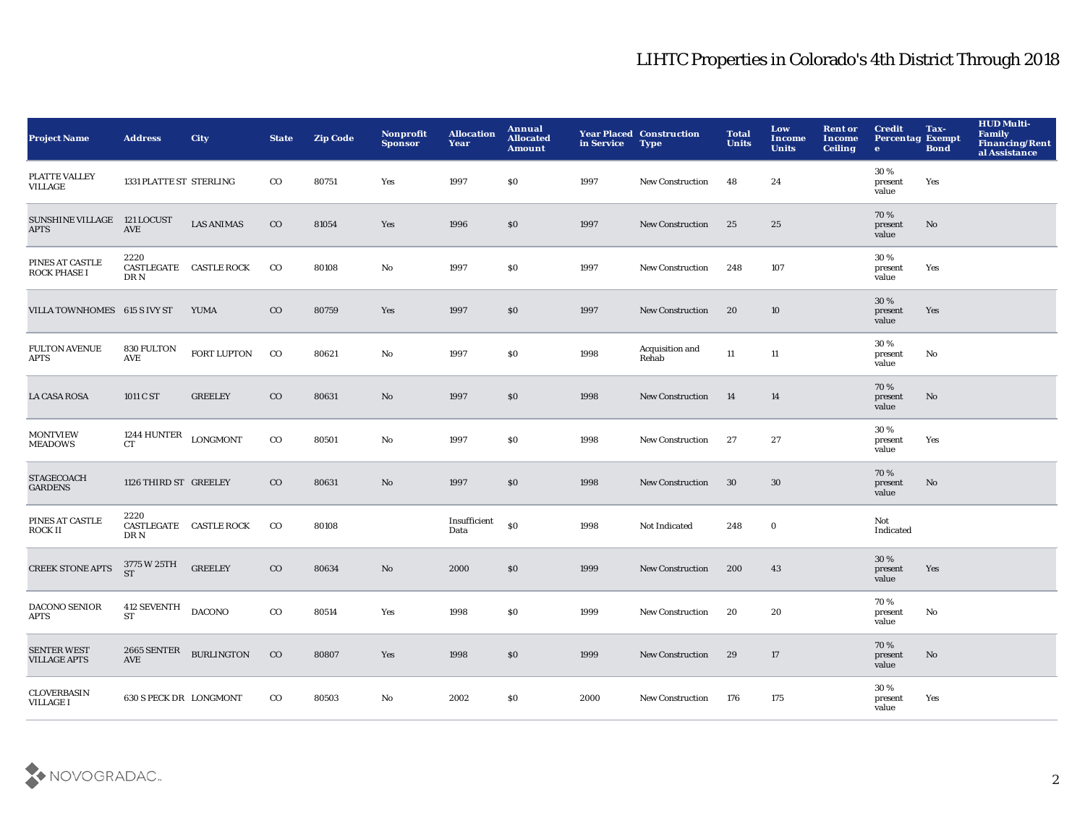| <b>Project Name</b>                       | <b>Address</b>                              | <b>City</b>            | <b>State</b> | <b>Zip Code</b> | <b>Nonprofit</b><br><b>Sponsor</b> | <b>Allocation</b><br>Year | Annual<br><b>Allocated</b><br><b>Amount</b> | in Service | <b>Year Placed Construction</b><br><b>Type</b> | <b>Total</b><br><b>Units</b> | Low<br>Income<br><b>Units</b> | <b>Rent or</b><br><b>Income</b><br><b>Ceiling</b> | <b>Credit</b><br><b>Percentag Exempt</b><br>$\bullet$ | Tax-<br><b>Bond</b> | <b>HUD Multi-</b><br><b>Family</b><br><b>Financing/Rent</b><br>al Assistance |
|-------------------------------------------|---------------------------------------------|------------------------|--------------|-----------------|------------------------------------|---------------------------|---------------------------------------------|------------|------------------------------------------------|------------------------------|-------------------------------|---------------------------------------------------|-------------------------------------------------------|---------------------|------------------------------------------------------------------------------|
| PLATTE VALLEY<br><b>VILLAGE</b>           | 1331 PLATTE ST STERLING                     |                        | $_{\rm CO}$  | 80751           | Yes                                | 1997                      | \$0                                         | 1997       | New Construction                               | 48                           | 24                            |                                                   | 30%<br>present<br>value                               | Yes                 |                                                                              |
| <b>SUNSHINE VILLAGE</b><br><b>APTS</b>    | 121 LOCUST<br>AVE                           | <b>LAS ANIMAS</b>      | $\rm{CO}$    | 81054           | Yes                                | 1996                      | \$0                                         | 1997       | <b>New Construction</b>                        | 25                           | 25                            |                                                   | 70%<br>present<br>value                               | No                  |                                                                              |
| PINES AT CASTLE<br><b>ROCK PHASE I</b>    | 2220<br>DR N                                | CASTLEGATE CASTLE ROCK | $_{\rm CO}$  | 80108           | No                                 | 1997                      | \$0                                         | 1997       | <b>New Construction</b>                        | 248                          | 107                           |                                                   | 30%<br>present<br>value                               | Yes                 |                                                                              |
| VILLA TOWNHOMES 615 S IVY ST              |                                             | <b>YUMA</b>            | $_{\rm CO}$  | 80759           | Yes                                | 1997                      | $\$0$                                       | 1997       | <b>New Construction</b>                        | 20                           | 10                            |                                                   | 30 %<br>present<br>value                              | Yes                 |                                                                              |
| <b>FULTON AVENUE</b><br><b>APTS</b>       | 830 FULTON<br>AVE                           | <b>FORT LUPTON</b>     | $_{\rm CO}$  | 80621           | No                                 | 1997                      | \$0                                         | 1998       | Acquisition and<br>Rehab                       | $11\,$                       | $11\,$                        |                                                   | 30%<br>present<br>value                               | No                  |                                                                              |
| <b>LA CASA ROSA</b>                       | 1011 C ST                                   | <b>GREELEY</b>         | $_{\rm CO}$  | 80631           | No                                 | 1997                      | \$0                                         | 1998       | <b>New Construction</b>                        | 14                           | 14                            |                                                   | 70%<br>present<br>value                               | No                  |                                                                              |
| <b>MONTVIEW</b><br><b>MEADOWS</b>         | 1244 HUNTER $_{\rm{LONGMONT}}$<br><b>CT</b> |                        | $_{\rm CO}$  | 80501           | No                                 | 1997                      | \$0                                         | 1998       | <b>New Construction</b>                        | 27                           | 27                            |                                                   | 30%<br>present<br>value                               | Yes                 |                                                                              |
| <b>STAGECOACH</b><br><b>GARDENS</b>       | 1126 THIRD ST GREELEY                       |                        | $\rm{CO}$    | 80631           | No                                 | 1997                      | \$0                                         | 1998       | <b>New Construction</b>                        | 30                           | 30                            |                                                   | 70%<br>present<br>value                               | No                  |                                                                              |
| PINES AT CASTLE<br><b>ROCK II</b>         | 2220<br>DR N                                | CASTLEGATE CASTLE ROCK | $_{\rm CO}$  | 80108           |                                    | Insufficient<br>Data      | \$0                                         | 1998       | Not Indicated                                  | 248                          | $\boldsymbol{0}$              |                                                   | Not<br>Indicated                                      |                     |                                                                              |
| <b>CREEK STONE APTS</b>                   | 3775 W 25TH<br><b>ST</b>                    | <b>GREELEY</b>         | $_{\rm CO}$  | 80634           | No                                 | 2000                      | \$0                                         | 1999       | <b>New Construction</b>                        | 200                          | 43                            |                                                   | 30 %<br>present<br>value                              | Yes                 |                                                                              |
| <b>DACONO SENIOR</b><br>APTS              | 412 SEVENTH<br><b>ST</b>                    | <b>DACONO</b>          | $_{\rm CO}$  | 80514           | Yes                                | 1998                      | \$0                                         | 1999       | New Construction                               | 20                           | 20                            |                                                   | 70%<br>present<br>value                               | No                  |                                                                              |
| <b>SENTER WEST</b><br><b>VILLAGE APTS</b> | 2665 SENTER<br><b>AVE</b>                   | <b>BURLINGTON</b>      | $_{\rm CO}$  | 80807           | Yes                                | 1998                      | \$0                                         | 1999       | <b>New Construction</b>                        | 29                           | 17                            |                                                   | 70%<br>present<br>value                               | No                  |                                                                              |
| <b>CLOVERBASIN</b><br><b>VILLAGE I</b>    | 630 S PECK DR LONGMONT                      |                        | $_{\rm CO}$  | 80503           | No                                 | 2002                      | <b>SO</b>                                   | 2000       | <b>New Construction</b>                        | 176                          | 175                           |                                                   | 30%<br>present<br>value                               | Yes                 |                                                                              |

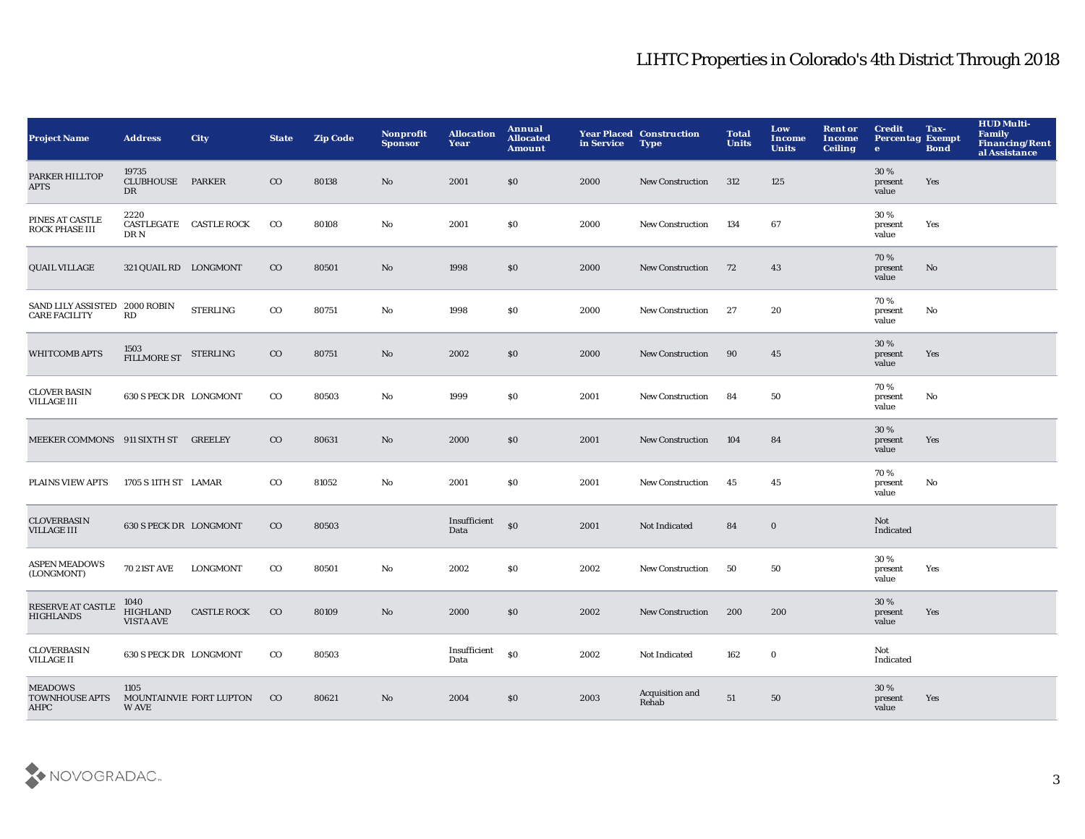| <b>Project Name</b>                                   | <b>Address</b>                              | <b>City</b>             | <b>State</b> | <b>Zip Code</b> | Nonprofit<br><b>Sponsor</b> | <b>Allocation</b><br>Year | Annual<br><b>Allocated</b><br><b>Amount</b> | in Service | <b>Year Placed Construction</b><br><b>Type</b> | <b>Total</b><br><b>Units</b> | Low<br>Income<br><b>Units</b> | <b>Rent or</b><br><b>Income</b><br><b>Ceiling</b> | <b>Credit</b><br><b>Percentag Exempt</b><br>$\bullet$ | Tax-<br><b>Bond</b> | <b>HUD Multi-</b><br><b>Family</b><br><b>Financing/Rent</b><br>al Assistance |
|-------------------------------------------------------|---------------------------------------------|-------------------------|--------------|-----------------|-----------------------------|---------------------------|---------------------------------------------|------------|------------------------------------------------|------------------------------|-------------------------------|---------------------------------------------------|-------------------------------------------------------|---------------------|------------------------------------------------------------------------------|
| PARKER HILLTOP<br><b>APTS</b>                         | 19735<br><b>CLUBHOUSE</b><br>DR             | <b>PARKER</b>           | $_{\rm CO}$  | 80138           | No                          | 2001                      | \$0                                         | 2000       | <b>New Construction</b>                        | 312                          | 125                           |                                                   | 30%<br>present<br>value                               | Yes                 |                                                                              |
| PINES AT CASTLE<br>ROCK PHASE III                     | 2220<br>DR N                                | CASTLEGATE CASTLE ROCK  | $_{\rm CO}$  | 80108           | No                          | 2001                      | \$0                                         | 2000       | <b>New Construction</b>                        | 134                          | 67                            |                                                   | 30%<br>present<br>value                               | Yes                 |                                                                              |
| <b>QUAIL VILLAGE</b>                                  | 321 QUAIL RD LONGMONT                       |                         | $_{\rm CO}$  | 80501           | No                          | 1998                      | \$0                                         | 2000       | <b>New Construction</b>                        | 72                           | 43                            |                                                   | 70%<br>present<br>value                               | No                  |                                                                              |
| SAND LILY ASSISTED 2000 ROBIN<br><b>CARE FACILITY</b> | RD                                          | <b>STERLING</b>         | $_{\rm CO}$  | 80751           | No                          | 1998                      | \$0                                         | 2000       | <b>New Construction</b>                        | -27                          | 20                            |                                                   | 70%<br>present<br>value                               | No                  |                                                                              |
| <b>WHITCOMB APTS</b>                                  | 1503<br>FILLMORE ST STERLING                |                         | $\rm{CO}$    | 80751           | No                          | 2002                      | \$0                                         | 2000       | <b>New Construction</b>                        | 90                           | 45                            |                                                   | 30%<br>present<br>value                               | Yes                 |                                                                              |
| <b>CLOVER BASIN</b><br><b>VILLAGE III</b>             | 630 S PECK DR LONGMONT                      |                         | $_{\rm CO}$  | 80503           | No                          | 1999                      | \$0                                         | 2001       | <b>New Construction</b>                        | 84                           | 50                            |                                                   | 70%<br>present<br>value                               | No                  |                                                                              |
| MEEKER COMMONS 911 SIXTH ST GREELEY                   |                                             |                         | $\rm{CO}$    | 80631           | No                          | 2000                      | \$0                                         | 2001       | <b>New Construction</b>                        | 104                          | 84                            |                                                   | 30 %<br>present<br>value                              | Yes                 |                                                                              |
| PLAINS VIEW APTS                                      | 1705 S 11TH ST LAMAR                        |                         | $_{\rm CO}$  | 81052           | No                          | 2001                      | \$0                                         | 2001       | <b>New Construction</b>                        | 45                           | 45                            |                                                   | 70%<br>present<br>value                               | No                  |                                                                              |
| <b>CLOVERBASIN</b><br><b>VILLAGE III</b>              | 630 S PECK DR LONGMONT                      |                         | $\rm{CO}$    | 80503           |                             | Insufficient<br>Data      | \$0                                         | 2001       | Not Indicated                                  | 84                           | $\bf{0}$                      |                                                   | Not<br>Indicated                                      |                     |                                                                              |
| <b>ASPEN MEADOWS</b><br>(LONGMONT)                    | <b>70 21ST AVE</b>                          | LONGMONT                | $_{\rm CO}$  | 80501           | No                          | 2002                      | \$0                                         | 2002       | <b>New Construction</b>                        | 50                           | 50                            |                                                   | 30%<br>present<br>value                               | Yes                 |                                                                              |
| RESERVE AT CASTLE<br><b>HIGHLANDS</b>                 | 1040<br><b>HIGHLAND</b><br><b>VISTA AVE</b> | <b>CASTLE ROCK</b>      | $\rm{CO}$    | 80109           | No                          | 2000                      | \$0                                         | 2002       | <b>New Construction</b>                        | 200                          | 200                           |                                                   | 30%<br>present<br>value                               | Yes                 |                                                                              |
| <b>CLOVERBASIN</b><br><b>VILLAGE II</b>               | 630 S PECK DR LONGMONT                      |                         | $_{\rm CO}$  | 80503           |                             | Insufficient<br>Data      | \$0                                         | 2002       | Not Indicated                                  | 162                          | $\bf{0}$                      |                                                   | Not<br>Indicated                                      |                     |                                                                              |
| <b>MEADOWS</b><br><b>TOWNHOUSE APTS</b><br>AHPC       | 1105<br><b>WAVE</b>                         | MOUNTAINVIE FORT LUPTON | $_{\rm CO}$  | 80621           | No                          | 2004                      | \$0                                         | 2003       | Acquisition and<br>Rehab                       | 51                           | 50                            |                                                   | 30%<br>present<br>value                               | Yes                 |                                                                              |

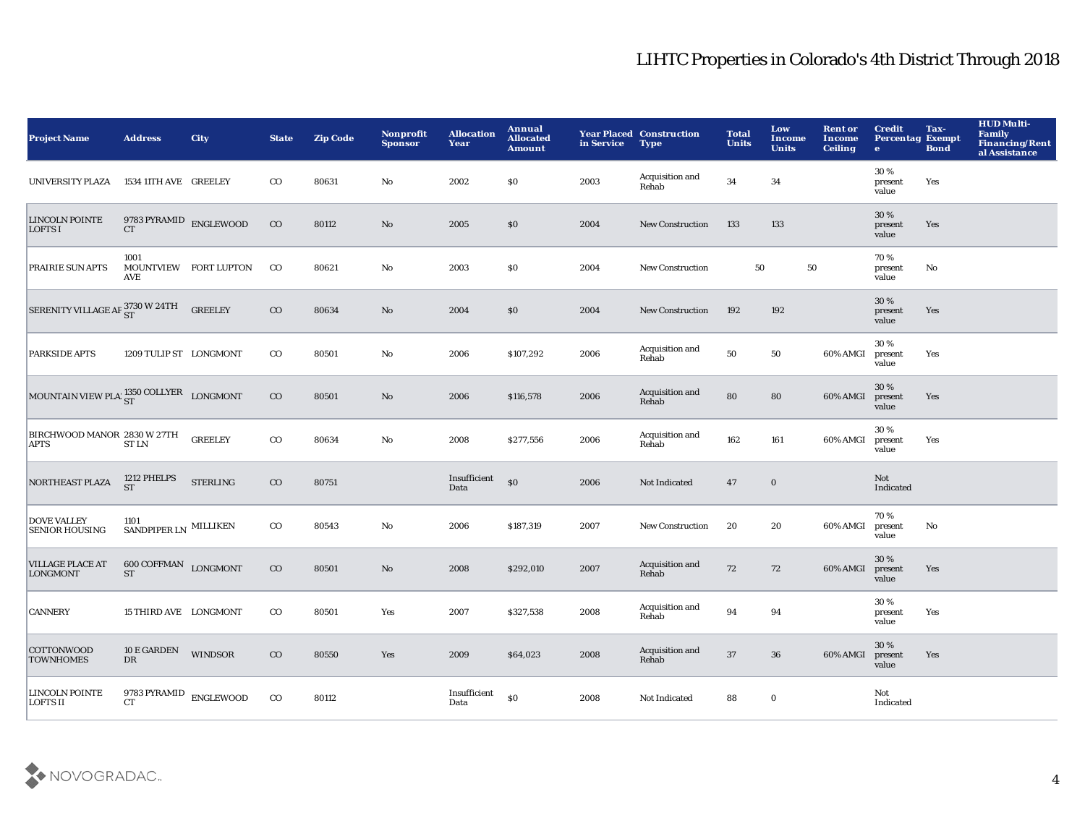| <b>Project Name</b>                                         | <b>Address</b>                        | City                  | <b>State</b> | <b>Zip Code</b> | <b>Nonprofit</b><br><b>Sponsor</b> | <b>Allocation</b><br>Year | <b>Annual</b><br><b>Allocated</b><br><b>Amount</b> | in Service | <b>Year Placed Construction</b><br><b>Type</b> | <b>Total</b><br><b>Units</b> | Low<br>Income<br><b>Units</b> | <b>Rent or</b><br><b>Income</b><br><b>Ceiling</b> | <b>Credit</b><br><b>Percentag Exempt</b><br>$\bullet$ | Tax-<br><b>Bond</b>    | <b>HUD Multi-</b><br><b>Family</b><br>Financing/Rent<br>al Assistance |
|-------------------------------------------------------------|---------------------------------------|-----------------------|--------------|-----------------|------------------------------------|---------------------------|----------------------------------------------------|------------|------------------------------------------------|------------------------------|-------------------------------|---------------------------------------------------|-------------------------------------------------------|------------------------|-----------------------------------------------------------------------|
| UNIVERSITY PLAZA                                            | 1534 11TH AVE GREELEY                 |                       | $_{\rm CO}$  | 80631           | No                                 | 2002                      | $\$0$                                              | 2003       | Acquisition and<br>Rehab                       | 34                           | 34                            |                                                   | 30%<br>present<br>value                               | Yes                    |                                                                       |
| <b>LINCOLN POINTE</b><br>LOFTS I                            | 9783 PYRAMID $_{\rm ENGLEWOOD}$<br>CT |                       | $_{\rm CO}$  | 80112           | $\mathbf{No}$                      | 2005                      | \$0                                                | 2004       | New Construction                               | 133                          | 133                           |                                                   | 30 %<br>present<br>value                              | Yes                    |                                                                       |
| <b>PRAIRIE SUN APTS</b>                                     | 1001<br><b>AVE</b>                    | MOUNTVIEW FORT LUPTON | $_{\rm CO}$  | 80621           | No                                 | 2003                      | \$0                                                | 2004       | <b>New Construction</b>                        | 50                           | 50                            |                                                   | 70%<br>present<br>value                               | No                     |                                                                       |
| SERENITY VILLAGE AP 3730 W 24TH                             |                                       | <b>GREELEY</b>        | $_{\rm CO}$  | 80634           | No                                 | 2004                      | \$0                                                | 2004       | New Construction                               | 192                          | 192                           |                                                   | 30%<br>present<br>value                               | Yes                    |                                                                       |
| <b>PARKSIDE APTS</b>                                        | 1209 TULIP ST LONGMONT                |                       | $_{\rm CO}$  | 80501           | $\mathbf{No}$                      | 2006                      | \$107,292                                          | 2006       | Acquisition and<br>Rehab                       | 50                           | 50                            | 60% AMGI                                          | 30%<br>present<br>value                               | Yes                    |                                                                       |
| MOUNTAIN VIEW PLA $_{\rm ST}^{1350\, \rm COLIVER}$ LONGMONT |                                       |                       | $_{\rm CO}$  | 80501           | No                                 | 2006                      | \$116,578                                          | 2006       | Acquisition and<br>Rehab                       | 80                           | 80                            | 60% AMGI                                          | 30%<br>present<br>value                               | Yes                    |                                                                       |
| BIRCHWOOD MANOR 2830 W 27TH<br><b>APTS</b>                  | <b>STLN</b>                           | <b>GREELEY</b>        | $_{\rm CO}$  | 80634           | No                                 | 2008                      | \$277,556                                          | 2006       | Acquisition and<br>Rehab                       | 162                          | 161                           | 60% AMGI                                          | 30 %<br>present<br>value                              | Yes                    |                                                                       |
| NORTHEAST PLAZA                                             | 1212 PHELPS<br>${\cal S}{\cal T}$     | <b>STERLING</b>       | $\rm{CO}$    | 80751           |                                    | Insufficient<br>Data      | \$0                                                | 2006       | Not Indicated                                  | 47                           | $\mathbf 0$                   |                                                   | Not<br>Indicated                                      |                        |                                                                       |
| <b>DOVE VALLEY</b><br><b>SENIOR HOUSING</b>                 | 1101<br>SANDPIPER LN MILLIKEN         |                       | $_{\rm CO}$  | 80543           | $\mathbf{No}$                      | 2006                      | \$187,319                                          | 2007       | New Construction                               | 20                           | 20                            | 60% AMGI                                          | 70%<br>present<br>value                               | $\mathbf{N}\mathbf{o}$ |                                                                       |
| <b>VILLAGE PLACE AT</b><br><b>LONGMONT</b>                  | 600 COFFMAN LONGMONT<br><b>ST</b>     |                       | $_{\rm CO}$  | 80501           | No                                 | 2008                      | \$292,010                                          | 2007       | Acquisition and<br>Rehab                       | 72                           | 72                            | 60% AMGI                                          | 30 %<br>present<br>value                              | Yes                    |                                                                       |
| <b>CANNERY</b>                                              | 15 THIRD AVE LONGMONT                 |                       | $_{\rm CO}$  | 80501           | Yes                                | 2007                      | \$327,538                                          | 2008       | Acquisition and<br>Rehab                       | 94                           | 94                            |                                                   | 30%<br>present<br>value                               | Yes                    |                                                                       |
| <b>COTTONWOOD</b><br><b>TOWNHOMES</b>                       | 10 E GARDEN<br>DR                     | <b>WINDSOR</b>        | $_{\rm CO}$  | 80550           | Yes                                | 2009                      | \$64,023                                           | 2008       | Acquisition and<br>Rehab                       | 37                           | ${\bf 36}$                    | 60% AMGI                                          | 30%<br>present<br>value                               | Yes                    |                                                                       |
| LINCOLN POINTE<br><b>LOFTS II</b>                           | 9783 PYRAMID<br><b>CT</b>             | <b>ENGLEWOOD</b>      | $_{\rm CO}$  | 80112           |                                    | Insufficient<br>Data      | \$0                                                | 2008       | Not Indicated                                  | 88                           | $\bf{0}$                      |                                                   | Not<br>Indicated                                      |                        |                                                                       |

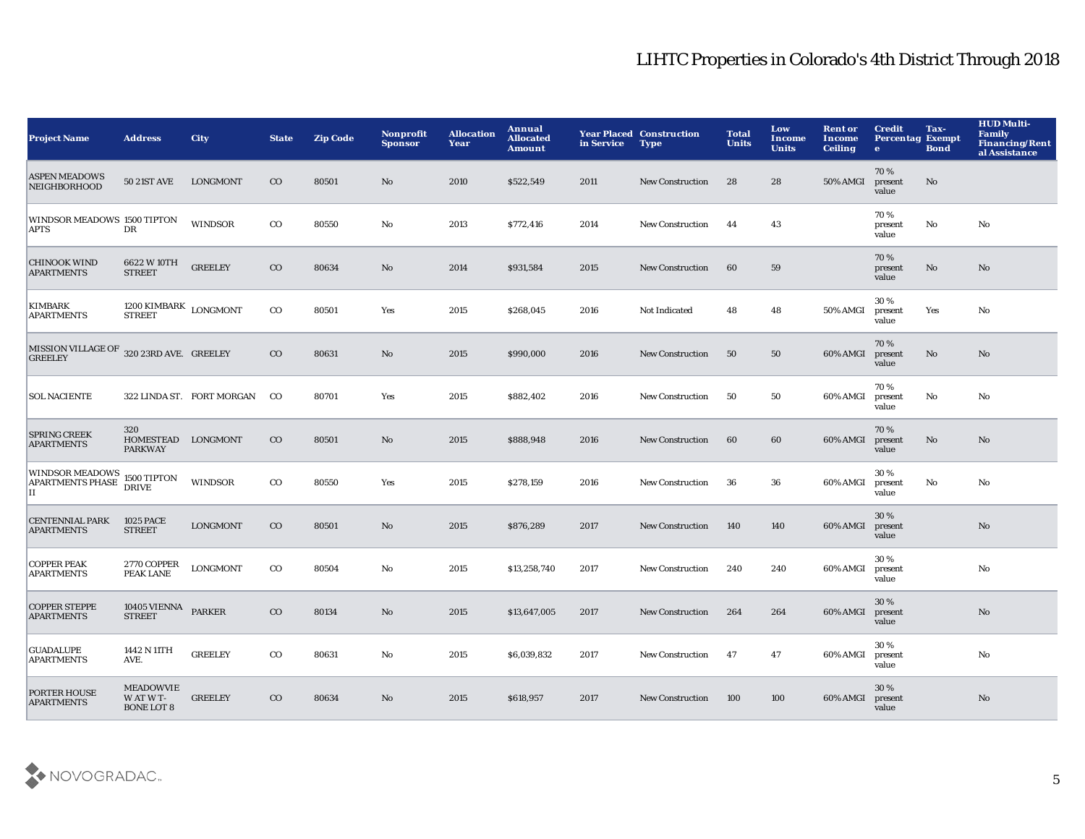| <b>Project Name</b>                                        | <b>Address</b>                                       | <b>City</b>               | <b>State</b> | <b>Zip Code</b> | <b>Nonprofit</b><br><b>Sponsor</b> | <b>Allocation</b><br>Year | Annual<br><b>Allocated</b><br><b>Amount</b> | in Service | <b>Year Placed Construction</b><br><b>Type</b> | <b>Total</b><br><b>Units</b> | Low<br><b>Income</b><br><b>Units</b> | <b>Rent or</b><br><b>Income</b><br><b>Ceiling</b> | <b>Credit</b><br><b>Percentag Exempt</b><br>$\bullet$ | Tax-<br><b>Bond</b> | <b>HUD Multi-</b><br>Family<br><b>Financing/Rent</b><br>al Assistance |
|------------------------------------------------------------|------------------------------------------------------|---------------------------|--------------|-----------------|------------------------------------|---------------------------|---------------------------------------------|------------|------------------------------------------------|------------------------------|--------------------------------------|---------------------------------------------------|-------------------------------------------------------|---------------------|-----------------------------------------------------------------------|
| <b>ASPEN MEADOWS</b><br><b>NEIGHBORHOOD</b>                | <b>50 21ST AVE</b>                                   | <b>LONGMONT</b>           | $_{\rm CO}$  | 80501           | No                                 | 2010                      | \$522,549                                   | 2011       | <b>New Construction</b>                        | 28                           | 28                                   | 50% AMGI                                          | 70%<br>present<br>value                               | No                  |                                                                       |
| WINDSOR MEADOWS 1500 TIPTON<br>APTS                        | DR                                                   | WINDSOR                   | $_{\rm CO}$  | 80550           | No                                 | 2013                      | \$772,416                                   | 2014       | New Construction                               | 44                           | 43                                   |                                                   | 70%<br>present<br>value                               | No                  | No                                                                    |
| <b>CHINOOK WIND</b><br><b>APARTMENTS</b>                   | 6622 W 10TH<br><b>STREET</b>                         | <b>GREELEY</b>            | $_{\rm CO}$  | 80634           | $\mathbf{N}\mathbf{o}$             | 2014                      | \$931,584                                   | 2015       | <b>New Construction</b>                        | 60                           | 59                                   |                                                   | 70%<br>present<br>value                               | $\mathbf{No}$       | No                                                                    |
| <b>KIMBARK</b><br><b>APARTMENTS</b>                        | $1200\,$ KIMBARK $_{\rm{LONGMONT}}$<br><b>STREET</b> |                           | $_{\rm CO}$  | 80501           | Yes                                | 2015                      | \$268,045                                   | 2016       | Not Indicated                                  | 48                           | 48                                   | 50% AMGI                                          | 30%<br>present<br>value                               | Yes                 | No                                                                    |
| MISSION VILLAGE OF 320 23RD AVE. GREELEY<br><b>GREELEY</b> |                                                      |                           | $_{\rm CO}$  | 80631           | No                                 | 2015                      | \$990,000                                   | 2016       | <b>New Construction</b>                        | 50                           | 50                                   | 60% AMGI                                          | 70%<br>present<br>value                               | No                  | No                                                                    |
| <b>SOL NACIENTE</b>                                        |                                                      | 322 LINDA ST. FORT MORGAN | $_{\rm CO}$  | 80701           | Yes                                | 2015                      | \$882,402                                   | 2016       | <b>New Construction</b>                        | 50                           | 50                                   | 60% AMGI                                          | 70%<br>present<br>value                               | No                  | No                                                                    |
| <b>SPRING CREEK</b><br><b>APARTMENTS</b>                   | 320<br>HOMESTEAD LONGMONT<br><b>PARKWAY</b>          |                           | $_{\rm CO}$  | 80501           | No                                 | 2015                      | \$888,948                                   | 2016       | <b>New Construction</b>                        | 60                           | 60                                   | 60% AMGI                                          | 70%<br>present<br>value                               | $\mathbf{No}$       | $\mathbf{N}\mathbf{o}$                                                |
| <b>WINDSOR MEADOWS</b><br>APARTMENTS PHASE<br>II           | 1500 TIPTON<br><b>DRIVE</b>                          | <b>WINDSOR</b>            | $_{\rm CO}$  | 80550           | Yes                                | 2015                      | \$278,159                                   | 2016       | <b>New Construction</b>                        | 36                           | 36                                   | 60% AMGI                                          | 30%<br>present<br>value                               | No                  | No                                                                    |
| <b>CENTENNIAL PARK</b><br><b>APARTMENTS</b>                | <b>1025 PACE</b><br><b>STREET</b>                    | <b>LONGMONT</b>           | $_{\rm CO}$  | 80501           | No                                 | 2015                      | \$876,289                                   | 2017       | <b>New Construction</b>                        | 140                          | 140                                  | 60% AMGI                                          | 30%<br>present<br>value                               |                     | $\mathbf{N}\mathbf{o}$                                                |
| <b>COPPER PEAK</b><br><b>APARTMENTS</b>                    | 2770 COPPER<br>PEAK LANE                             | <b>LONGMONT</b>           | $_{\rm CO}$  | 80504           | No                                 | 2015                      | \$13,258,740                                | 2017       | <b>New Construction</b>                        | 240                          | 240                                  | 60% AMGI                                          | 30%<br>present<br>value                               |                     | No                                                                    |
| <b>COPPER STEPPE</b><br><b>APARTMENTS</b>                  | 10405 VIENNA PARKER<br><b>STREET</b>                 |                           | $_{\rm CO}$  | 80134           | $\rm No$                           | 2015                      | \$13,647,005                                | 2017       | <b>New Construction</b>                        | 264                          | 264                                  | 60% AMGI                                          | 30 %<br>present<br>value                              |                     | No                                                                    |
| <b>GUADALUPE</b><br><b>APARTMENTS</b>                      | 1442 N 11TH<br>AVE.                                  | <b>GREELEY</b>            | $_{\rm CO}$  | 80631           | No                                 | 2015                      | \$6,039,832                                 | 2017       | <b>New Construction</b>                        | -47                          | 47                                   | 60% AMGI                                          | 30%<br>present<br>value                               |                     | No                                                                    |
| <b>PORTER HOUSE</b><br><b>APARTMENTS</b>                   | <b>MEADOWVIE</b><br>W AT W T-<br><b>BONE LOT 8</b>   | <b>GREELEY</b>            | $_{\rm CO}$  | 80634           | No                                 | 2015                      | \$618,957                                   | 2017       | <b>New Construction</b>                        | 100                          | 100                                  | 60% AMGI                                          | 30 %<br>present<br>value                              |                     | No                                                                    |